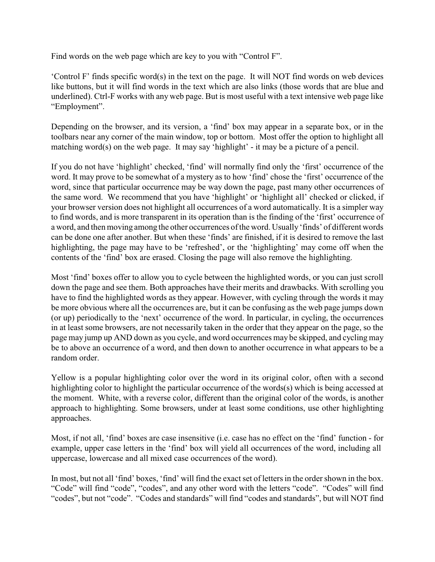Find words on the web page which are key to you with "Control F".

'Control F' finds specific word(s) in the text on the page. It will NOT find words on web devices like buttons, but it will find words in the text which are also links (those words that are blue and underlined). Ctrl-F works with any web page. But is most useful with a text intensive web page like "Employment".

Depending on the browser, and its version, a 'find' box may appear in a separate box, or in the toolbars near any corner of the main window, top or bottom. Most offer the option to highlight all matching word(s) on the web page. It may say 'highlight' - it may be a picture of a pencil.

If you do not have 'highlight' checked, 'find' will normally find only the 'first' occurrence of the word. It may prove to be somewhat of a mystery as to how 'find' chose the 'first' occurrence of the word, since that particular occurrence may be way down the page, past many other occurrences of the same word. We recommend that you have 'highlight' or 'highlight all' checked or clicked, if your browser version does not highlight all occurrences of a word automatically. It is a simpler way to find words, and is more transparent in its operation than is the finding of the 'first' occurrence of a word, and then moving among the other occurrences of the word. Usually 'finds' of different words can be done one after another. But when these 'finds' are finished, if it is desired to remove the last highlighting, the page may have to be 'refreshed', or the 'highlighting' may come off when the contents of the 'find' box are erased. Closing the page will also remove the highlighting.

Most 'find' boxes offer to allow you to cycle between the highlighted words, or you can just scroll down the page and see them. Both approaches have their merits and drawbacks. With scrolling you have to find the highlighted words as they appear. However, with cycling through the words it may be more obvious where all the occurrences are, but it can be confusing as the web page jumps down (or up) periodically to the 'next' occurrence of the word. In particular, in cycling, the occurrences in at least some browsers, are not necessarily taken in the order that they appear on the page, so the page may jump up AND down as you cycle, and word occurrences may be skipped, and cycling may be to above an occurrence of a word, and then down to another occurrence in what appears to be a random order.

Yellow is a popular highlighting color over the word in its original color, often with a second highlighting color to highlight the particular occurrence of the words(s) which is being accessed at the moment. White, with a reverse color, different than the original color of the words, is another approach to highlighting. Some browsers, under at least some conditions, use other highlighting approaches.

Most, if not all, 'find' boxes are case insensitive (i.e. case has no effect on the 'find' function - for example, upper case letters in the 'find' box will yield all occurrences of the word, including all uppercase, lowercase and all mixed case occurrences of the word).

In most, but not all 'find' boxes, 'find' will find the exact set of letters in the order shown in the box. "Code" will find "code", "codes", and any other word with the letters "code". "Codes" will find "codes", but not "code". "Codes and standards" will find "codes and standards", but will NOT find